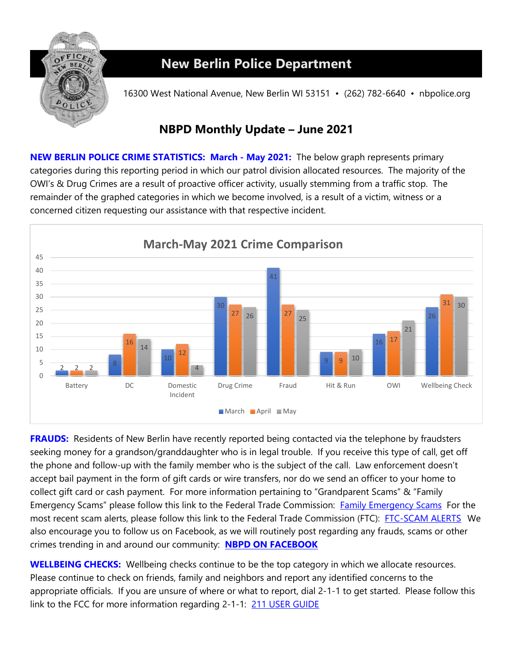

## **New Berlin Police Department**

16300 West National Avenue, New Berlin WI 53151 • (262) 782-6640 • nbpolice.org

### **NBPD Monthly Update – June 2021**

**NEW BERLIN POLICE CRIME STATISTICS: March - May 2021:** The below graph represents primary categories during this reporting period in which our patrol division allocated resources. The majority of the OWI's & Drug Crimes are a result of proactive officer activity, usually stemming from a traffic stop. The remainder of the graphed categories in which we become involved, is a result of a victim, witness or a concerned citizen requesting our assistance with that respective incident.



**FRAUDS:** Residents of New Berlin have recently reported being contacted via the telephone by fraudsters seeking money for a grandson/granddaughter who is in legal trouble. If you receive this type of call, get off the phone and follow-up with the family member who is the subject of the call. Law enforcement doesn't accept bail payment in the form of gift cards or wire transfers, nor do we send an officer to your home to collect gift card or cash payment. For more information pertaining to "Grandparent Scams" & "Family Emergency Scams" please follow this link to the Federal Trade Commission: [Family Emergency Scams](https://www.consumer.ftc.gov/scams/family-emergency-scams) For the most recent scam alerts, please follow this link to the Federal Trade Commission (FTC): [FTC-SCAM ALERTS](https://www.consumer.ftc.gov/features/scam-alerts) We also encourage you to follow us on Facebook, as we will routinely post regarding any frauds, scams or other crimes trending in and around our community: **[NBPD ON FACEBOOK](http://www.facebook.com/pages/New-Berlin-Police-Department/112811588818971)** 

**WELLBEING CHECKS:** Wellbeing checks continue to be the top category in which we allocate resources. Please continue to check on friends, family and neighbors and report any identified concerns to the appropriate officials. If you are unsure of where or what to report, dial 2-1-1 to get started. Please follow this link to the FCC for more information regarding 2-1-1: 211 USER GUIDE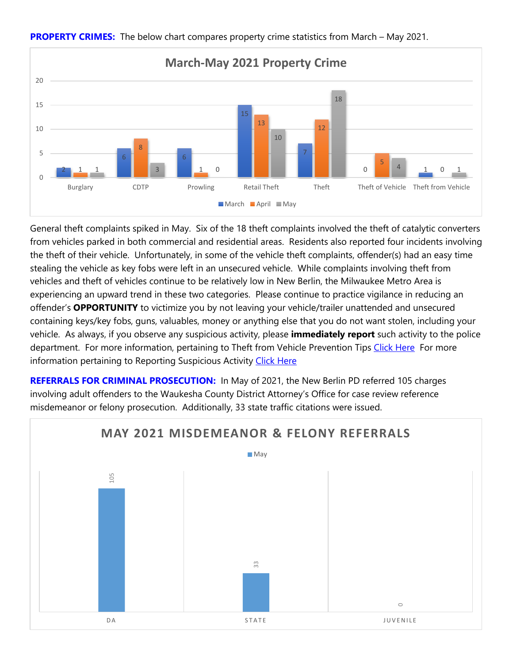

#### **PROPERTY CRIMES:** The below chart compares property crime statistics from March – May 2021.

General theft complaints spiked in May. Six of the 18 theft complaints involved the theft of catalytic converters from vehicles parked in both commercial and residential areas. Residents also reported four incidents involving the theft of their vehicle. Unfortunately, in some of the vehicle theft complaints, offender(s) had an easy time stealing the vehicle as key fobs were left in an unsecured vehicle. While complaints involving theft from vehicles and theft of vehicles continue to be relatively low in New Berlin, the Milwaukee Metro Area is experiencing an upward trend in these two categories. Please continue to practice vigilance in reducing an offender's **OPPORTUNITY** to victimize you by not leaving your vehicle/trailer unattended and unsecured containing keys/key fobs, guns, valuables, money or anything else that you do not want stolen, including your vehicle. As always, if you observe any suspicious activity, please **immediately report** such activity to the police department. For more information, pertaining to Theft from Vehicle Prevention Tips [Click Here](https://www.newberlin.org/DocumentCenter/View/15791/Theft-From-Vehicle-Prevention-Tips?bidId) For more information pertaining to Reporting Suspicious Activity [Click Here](https://www.newberlin.org/DocumentCenter/View/15792/Reporting-Suspicious-Activity?bidId)

**REFERRALS FOR CRIMINAL PROSECUTION:** In May of 2021, the New Berlin PD referred 105 charges involving adult offenders to the Waukesha County District Attorney's Office for case review reference misdemeanor or felony prosecution. Additionally, 33 state traffic citations were issued.

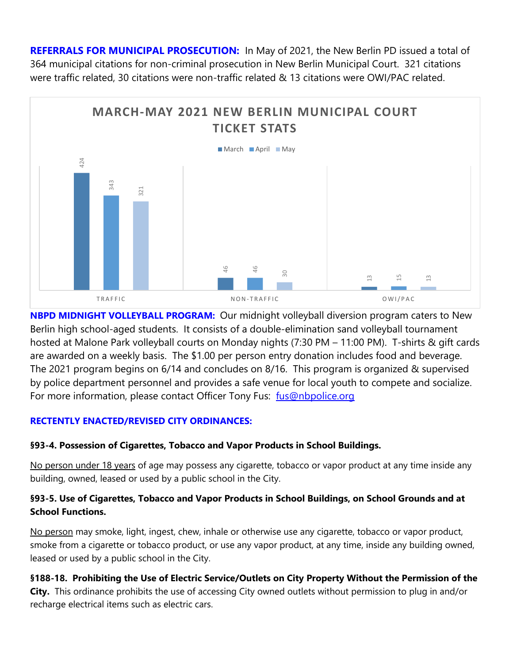**REFERRALS FOR MUNICIPAL PROSECUTION:** In May of 2021, the New Berlin PD issued a total of 364 municipal citations for non-criminal prosecution in New Berlin Municipal Court. 321 citations were traffic related, 30 citations were non-traffic related & 13 citations were OWI/PAC related.



**NBPD MIDNIGHT VOLLEYBALL PROGRAM:** Our midnight volleyball diversion program caters to New Berlin high school-aged students. It consists of a double-elimination sand volleyball tournament hosted at Malone Park volleyball courts on Monday nights (7:30 PM – 11:00 PM). T-shirts & gift cards are awarded on a weekly basis. The \$1.00 per person entry donation includes food and beverage. The 2021 program begins on 6/14 and concludes on 8/16. This program is organized & supervised by police department personnel and provides a safe venue for local youth to compete and socialize. For more information, please contact Officer Tony Fus: fus@nbpolice.org

#### **RECTENTLY ENACTED/REVISED CITY ORDINANCES:**

#### **§93-4. Possession of Cigarettes, Tobacco and Vapor Products in School Buildings.**

No person under 18 years of age may possess any cigarette, tobacco or vapor product at any time inside any building, owned, leased or used by a public school in the City.

#### **§93-5. Use of Cigarettes, Tobacco and Vapor Products in School Buildings, on School Grounds and at School Functions.**

No person may smoke, light, ingest, chew, inhale or otherwise use any cigarette, tobacco or vapor product, smoke from a cigarette or tobacco product, or use any vapor product, at any time, inside any building owned, leased or used by a public school in the City.

#### **§188-18. Prohibiting the Use of Electric Service/Outlets on City Property Without the Permission of the**

**City.** This ordinance prohibits the use of accessing City owned outlets without permission to plug in and/or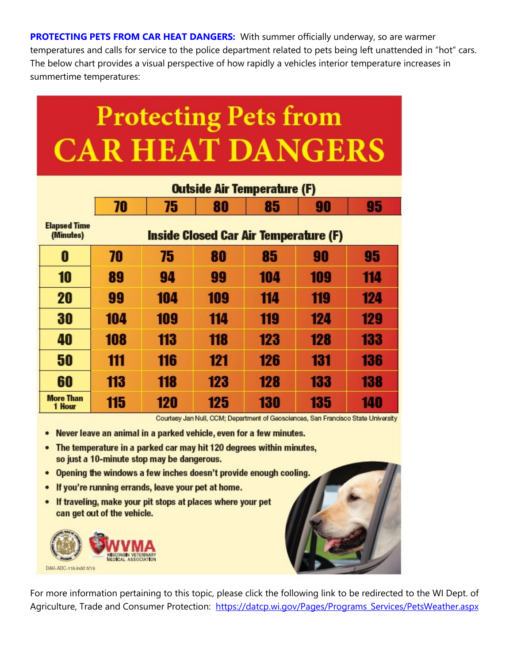**PROTECTING PETS FROM CAR HEAT DANGERS:** With summer officially underway, so are warmer temperatures and calls for service to the police department related to pets being left unattended in "hot" cars. The below chart provides a visual perspective of how rapidly a vehicles interior temperature increases in summertime temperatures:

# **Protecting Pets from CAR HEAT DANGERS**

|                                  | <b>Outside Air Temperature (F)</b>           |     |     |     |     |     |
|----------------------------------|----------------------------------------------|-----|-----|-----|-----|-----|
|                                  | 70                                           | 75  | 80  | 85  | 90  | 95  |
| <b>Elapsed Time</b><br>(Minutes) | <b>Inside Closed Car Air Temperature (F)</b> |     |     |     |     |     |
| 0                                | 70                                           | 75  | 80  | 85  | 90  | 95  |
| 10                               | 89                                           | 94  | 99  | 104 | 109 | 114 |
| 20                               | 99                                           | 104 | 109 | 114 | 119 | 124 |
| 30                               | 104                                          | 109 | 114 | 119 | 124 | 129 |
| 40                               | 108                                          | 113 | 118 | 123 | 128 | 133 |
| 50                               | 111                                          | 116 | 121 | 126 | 131 | 136 |
| 60                               | 113                                          | 118 | 123 | 128 | 133 | 138 |
| <b>More Than</b><br>1 Hour       | 115                                          | 120 | 125 | 130 | 135 | 140 |

Courtesy Jan Null, CCM; Department of Geosciences, San Francisco State University

- Never leave an animal in a parked vehicle, even for a few minutes.
- The temperature in a parked car may hit 120 degrees within minutes,  $\bullet$ so just a 10-minute stop may be dangerous.
- Opening the windows a few inches doesn't provide enough cooling.  $\bullet$
- If you're running errands, leave your pet at home.
- If traveling, make your pit stops at places where your pet ٠ can get out of the vehicle.





For more information pertaining to this topic, please click the following link to be redirected to the WI Dept. of Agriculture, Trade and Consumer Protection: https://datcp.wi.gov/Pages/Programs\_Services/PetsWeather.aspx